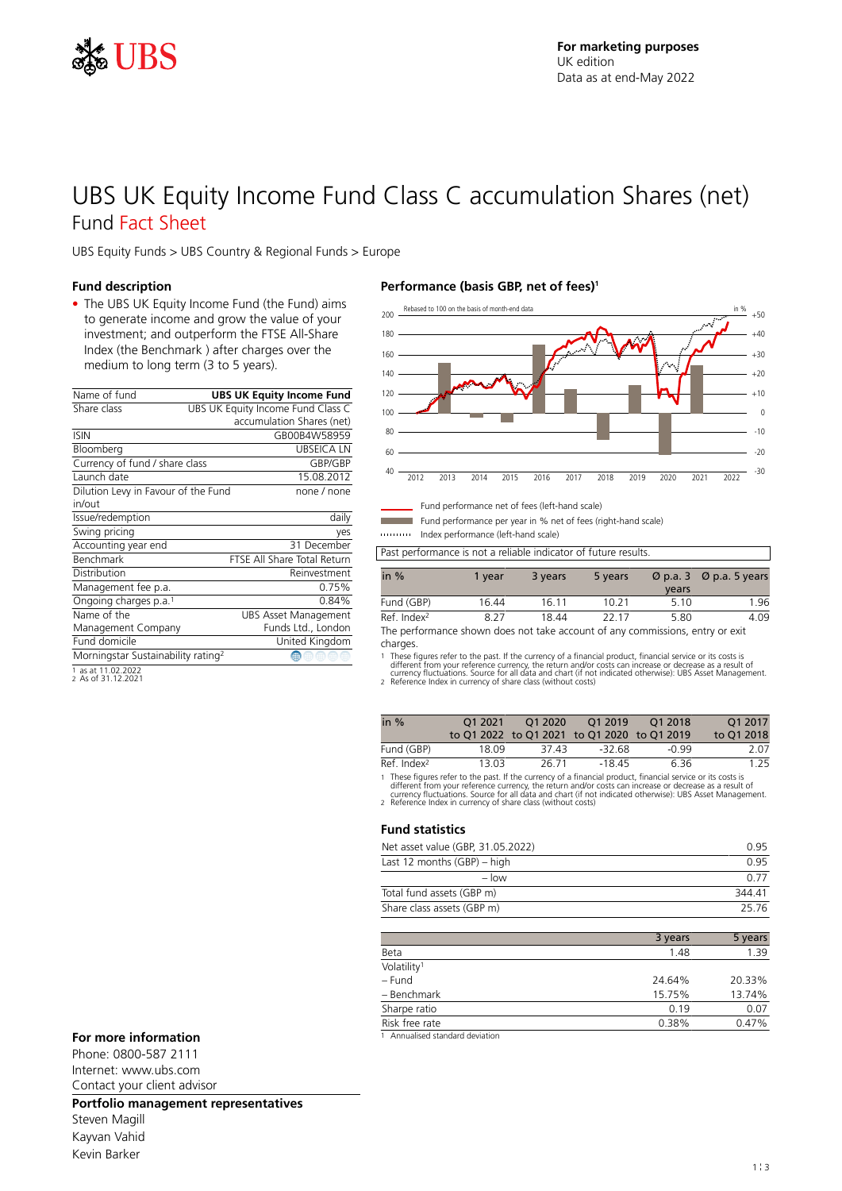

## UBS UK Equity Income Fund Class C accumulation Shares (net) Fund Fact Sheet

UBS Equity Funds > UBS Country & Regional Funds > Europe

### **Fund description**

• The UBS UK Equity Income Fund (the Fund) aims to generate income and grow the value of your investment; and outperform the FTSE All-Share Index (the Benchmark ) after charges over the medium to long term (3 to 5 years).

| Name of fund                                   | <b>UBS UK Equity Income Fund</b>  |
|------------------------------------------------|-----------------------------------|
| Share class                                    | UBS UK Equity Income Fund Class C |
|                                                | accumulation Shares (net)         |
| <b>ISIN</b>                                    | GB00B4W58959                      |
| Bloomberg                                      | <b>UBSEICA LN</b>                 |
| Currency of fund / share class                 | GBP/GBP                           |
| Launch date                                    | 15.08.2012                        |
| Dilution Levy in Favour of the Fund            | none / none                       |
| in/out                                         |                                   |
| Issue/redemption                               | daily                             |
| Swing pricing                                  | yes                               |
| Accounting year end                            | 31 December                       |
| <b>Benchmark</b>                               | FTSE All Share Total Return       |
| Distribution                                   | Reinvestment                      |
| Management fee p.a.                            | 0.75%                             |
| Ongoing charges p.a. <sup>1</sup>              | $0.84\%$                          |
| Name of the                                    | <b>UBS Asset Management</b>       |
| Management Company                             | Funds Ltd., London                |
| Fund domicile                                  | United Kingdom                    |
| Morningstar Sustainability rating <sup>2</sup> | ∰                                 |
| as at 11.02.2022<br>2 As of 31.12.2021         |                                   |

### **Performance (basis GBP, net of fees)<sup>1</sup>**



Fund performance net of fees (left-hand scale)

Fund performance per year in % net of fees (right-hand scale) Index performance (left-hand scale)

Past performance is not a reliable indicator of future results.

| in $%$                  | 1 vear | 3 years | 5 years |       | $\varnothing$ p.a. 3 $\varnothing$ p.a. 5 years |
|-------------------------|--------|---------|---------|-------|-------------------------------------------------|
|                         |        |         |         | years |                                                 |
| Fund (GBP)              | 16.44  | 16.11   | 10.21   | 5.10  | 1.96                                            |
| Ref. Index <sup>2</sup> | 8 27   | 18.44   | 22 17   | 5.80  | 4.09                                            |

The performance shown does not take account of any commissions, entry or exit charges.

1 These figures refer to the past. If the currency of a financial product, financial service or its costs is<br>different from your reference currency, the return and/or costs can increase or decrease as a result of<br>currency

| in $%$                  | 01 2021 | O1 2020 | O1 2019                                     | 01 2018 | O1 2017    |
|-------------------------|---------|---------|---------------------------------------------|---------|------------|
|                         |         |         | to Q1 2022 to Q1 2021 to Q1 2020 to Q1 2019 |         | to 01 2018 |
| Fund (GBP)              | 18.09   | 37 43   | -32.68                                      | -0.99   | 2.07       |
| Ref. Index <sup>2</sup> | 13.03   | 26.71   | $-1845$                                     | 6.36    | 1.25       |

1 These figures refer to the past. If the currency of a financial product, financial service or its costs is<br>different from your reference currency, the return and/or costs can increase or decrease as a result of<br>currency

#### **Fund statistics**

| Net asset value (GBP, 31.05.2022) | O 95   |
|-----------------------------------|--------|
| Last 12 months $(GBP)$ – high     | 0.95   |
| $-$ low                           | 0.77   |
| Total fund assets (GBP m)         | 344 41 |
| Share class assets (GBP m)        | 25.76  |

|                                                    | 3 years | 5 years |
|----------------------------------------------------|---------|---------|
| Beta                                               | 1.48    | 1.39    |
| Volatility <sup>1</sup>                            |         |         |
|                                                    |         |         |
| – Fund                                             | 24.64%  | 20.33%  |
| - Benchmark                                        | 15.75%  | 13.74%  |
| Sharpe ratio                                       | 0 19    | 0.07    |
| Risk free rate                                     | 0.38%   | 0.47%   |
| the Americal incident condition of the conditions. |         |         |

### **For more information** 1 **1 1** Annualised standard deviation

Phone: 0800-587 2111 Internet: www.ubs.com Contact your client advisor

### **Portfolio management representatives**

Steven Magill Kayvan Vahid Kevin Barker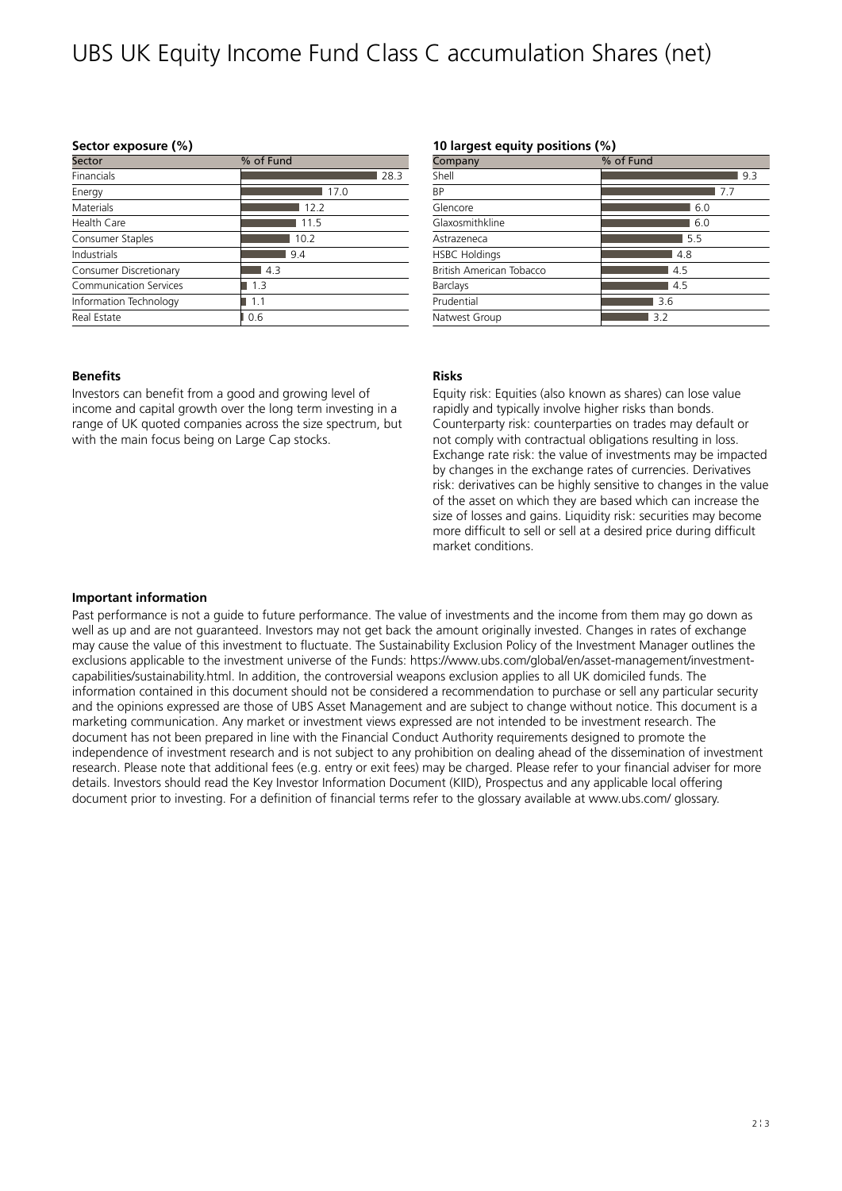# UBS UK Equity Income Fund Class C accumulation Shares (net)

### **Sector exposure (%)**

| Sector                        | % of Fund |
|-------------------------------|-----------|
| <b>Financials</b>             | 28.3      |
| Energy                        | 17.0      |
| <b>Materials</b>              | 12.2      |
| Health Care                   | 11.5      |
| Consumer Staples              | 10.2      |
| Industrials                   | 9.4       |
| Consumer Discretionary        | 4.3       |
| <b>Communication Services</b> | 1.3       |
| Information Technology        | 1.1       |
| Real Estate                   | 0.6       |

### **Benefits**

Investors can benefit from a good and growing level of income and capital growth over the long term investing in a range of UK quoted companies across the size spectrum, but with the main focus being on Large Cap stocks.

### **10 largest equity positions (%)**

| Company                  | % of Fund |
|--------------------------|-----------|
| Shell                    | 9.3       |
| <b>BP</b>                | 7.7       |
| Glencore                 | 6.0       |
| Glaxosmithkline          | 6.0       |
| Astrazeneca              | 5.5       |
| <b>HSBC Holdings</b>     | 4.8       |
| British American Tobacco | 4.5       |
| <b>Barclays</b>          | 4.5       |
| Prudential               | 3.6       |
| Natwest Group            | 3.2       |

### **Risks**

Equity risk: Equities (also known as shares) can lose value rapidly and typically involve higher risks than bonds. Counterparty risk: counterparties on trades may default or not comply with contractual obligations resulting in loss. Exchange rate risk: the value of investments may be impacted by changes in the exchange rates of currencies. Derivatives risk: derivatives can be highly sensitive to changes in the value of the asset on which they are based which can increase the size of losses and gains. Liquidity risk: securities may become more difficult to sell or sell at a desired price during difficult market conditions.

### **Important information**

Past performance is not a guide to future performance. The value of investments and the income from them may go down as well as up and are not guaranteed. Investors may not get back the amount originally invested. Changes in rates of exchange may cause the value of this investment to fluctuate. The Sustainability Exclusion Policy of the Investment Manager outlines the exclusions applicable to the investment universe of the Funds: https://www.ubs.com/global/en/asset-management/investmentcapabilities/sustainability.html. In addition, the controversial weapons exclusion applies to all UK domiciled funds. The information contained in this document should not be considered a recommendation to purchase or sell any particular security and the opinions expressed are those of UBS Asset Management and are subject to change without notice. This document is a marketing communication. Any market or investment views expressed are not intended to be investment research. The document has not been prepared in line with the Financial Conduct Authority requirements designed to promote the independence of investment research and is not subject to any prohibition on dealing ahead of the dissemination of investment research. Please note that additional fees (e.g. entry or exit fees) may be charged. Please refer to your financial adviser for more details. Investors should read the Key Investor Information Document (KIID), Prospectus and any applicable local offering document prior to investing. For a definition of financial terms refer to the glossary available at www.ubs.com/ glossary.